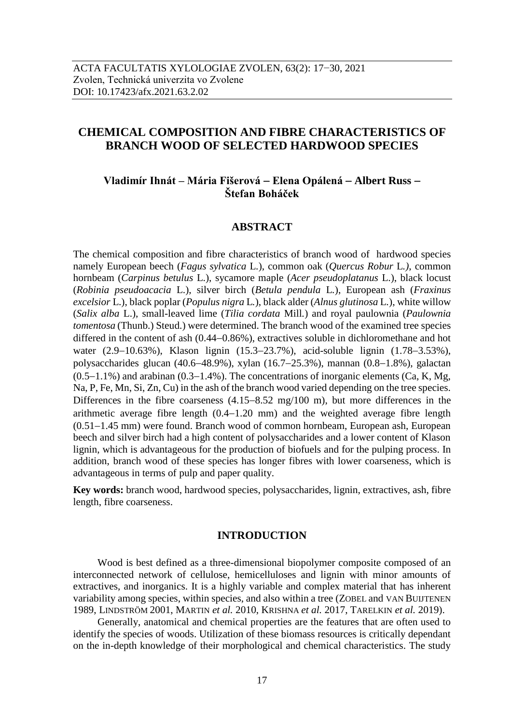# **CHEMICAL COMPOSITION AND FIBRE CHARACTERISTICS OF BRANCH WOOD OF SELECTED HARDWOOD SPECIES**

# **Vladimír Ihnát – Mária Fišerová Elena Opálená Albert Russ Štefan Boháček**

# **ABSTRACT**

The chemical composition and fibre characteristics of branch wood of hardwood species namely European beech (*Fagus sylvatica* L*.*), common oak (*Quercus Robur* L*.)*, common hornbeam (*Carpinus betulus* L.), sycamore maple (*Acer pseudoplatanus* L.), black locust (*Robinia pseudoacacia* L.), silver birch (*Betula pendula* L*.*), European ash (*Fraxinus excelsior* L.), black poplar (*Populus nigra* L*.*), black alder (*Alnus glutinosa* L*.*), white willow (*Salix alba* L.), small-leaved lime (*Tilia cordata* Mill*.*) and royal paulownia (*Paulownia tomentosa* (Thunb.) Steud.) were determined. The branch wood of the examined tree species differed in the content of ash  $(0.44-0.86%)$ , extractives soluble in dichloromethane and hot water  $(2.9-10.63\%)$ , Klason lignin  $(15.3-23.7\%)$ , acid-soluble lignin  $(1.78-3.53\%)$ , polysaccharides glucan (40.6-48.9%), xylan (16.7-25.3%), mannan (0.8-1.8%), galactan  $(0.5-1.1\%)$  and arabinan  $(0.3-1.4\%)$ . The concentrations of inorganic elements (Ca, K, Mg, Na, P, Fe, Mn, Si, Zn, Cu) in the ash of the branch wood varied depending on the tree species. Differences in the fibre coarseness  $(4.15-8.52 \text{ mg}/100 \text{ m})$ , but more differences in the arithmetic average fibre length  $(0.4-1.20 \text{ mm})$  and the weighted average fibre length  $(0.51-1.45$  mm) were found. Branch wood of common hornbeam, European ash, European beech and silver birch had a high content of polysaccharides and a lower content of Klason lignin, which is advantageous for the production of biofuels and for the pulping process. In addition, branch wood of these species has longer fibres with lower coarseness, which is advantageous in terms of pulp and paper quality.

**Key words:** branch wood, hardwood species, polysaccharides, lignin, extractives, ash, fibre length, fibre coarseness.

# **INTRODUCTION**

Wood is best defined as a three-dimensional biopolymer composite composed of an interconnected network of cellulose, hemicelluloses and lignin with minor amounts of extractives, and inorganics. It is a highly variable and complex material that has inherent variability among species, within species, and also within a tree (ZOBEL and VAN BUIJTENEN 1989, LINDSTRӦM 2001, MARTIN *et al.* 2010, KRISHNA *et al.* 2017, TARELKIN *et al.* 2019).

Generally, anatomical and chemical properties are the features that are often used to identify the species of woods. Utilization of these biomass resources is critically dependant on the in-depth knowledge of their morphological and chemical characteristics. The study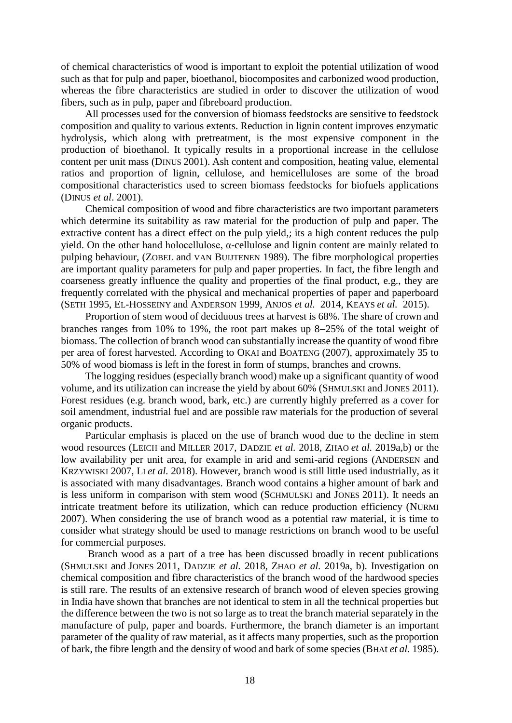of chemical characteristics of wood is important to exploit the potential utilization of wood such as that for pulp and paper, bioethanol, biocomposites and carbonized wood production, whereas the fibre characteristics are studied in order to discover the utilization of wood fibers, such as in pulp, paper and fibreboard production.

All processes used for the conversion of biomass feedstocks are sensitive to feedstock composition and quality to various extents. Reduction in lignin content improves enzymatic hydrolysis, which along with pretreatment, is the most expensive component in the production of bioethanol. It typically results in a proportional increase in the cellulose content per unit mass (DINUS 2001). Ash content and composition, heating value, elemental ratios and proportion of lignin, cellulose, and hemicelluloses are some of the broad compositional characteristics used to screen biomass feedstocks for biofuels applications (DINUS *et al*. 2001).

Chemical composition of wood and fibre characteristics are two important parameters which determine its suitability as raw material for the production of pulp and paper. The extractive content has a direct effect on the pulp yield, its a high content reduces the pulp yield. On the other hand holocellulose, α-cellulose and lignin content are mainly related to pulping behaviour, (ZOBEL and VAN BUIJTENEN 1989). The fibre morphological properties are important quality parameters for pulp and paper properties. In fact, the fibre length and coarseness greatly influence the quality and properties of the final product, e.g., they are frequently correlated with the physical and mechanical properties of paper and paperboard (SETH 1995, EL-HOSSEINY and ANDERSON 1999, ANJOS *et al.* 2014, KEAYS *et al.* 2015).

Proportion of stem wood of deciduous trees at harvest is 68%. The share of crown and branches ranges from 10% to 19%, the root part makes up  $8-25%$  of the total weight of biomass. The collection of branch wood can substantially increase the quantity of wood fibre per area of forest harvested. According to OKAI and BOATENG (2007), approximately 35 to 50% of wood biomass is left in the forest in form of stumps, branches and crowns.

The logging residues (especially branch wood) make up a significant quantity of wood volume, and its utilization can increase the yield by about 60% (SHMULSKI and JONES 2011). Forest residues (e.g. branch wood, bark, etc.) are currently highly preferred as a cover for soil amendment, industrial fuel and are possible raw materials for the production of several organic products.

Particular emphasis is placed on the use of branch wood due to the decline in stem wood resources (LEICH and MILLER 2017, DADZIE *et al.* 2018, ZHAO *et al.* 2019a,b) or the low availability per unit area, for example in arid and semi-arid regions (ANDERSEN and KRZYWISKI 2007, LI *et al.* 2018). However, branch wood is still little used industrially, as it is associated with many disadvantages. Branch wood contains a higher amount of bark and is less uniform in comparison with stem wood (SCHMULSKI and JONES 2011). It needs an intricate treatment before its utilization, which can reduce production efficiency (NURMI 2007). When considering the use of branch wood as a potential raw material, it is time to consider what strategy should be used to manage restrictions on branch wood to be useful for commercial purposes.

Branch wood as a part of a tree has been discussed broadly in recent publications (SHMULSKI and JONES 2011, DADZIE *et al.* 2018, ZHAO *et al.* 2019a, b). Investigation on chemical composition and fibre characteristics of the branch wood of the hardwood species is still rare. The results of an extensive research of branch wood of eleven species growing in India have shown that branches are not identical to stem in all the technical properties but the difference between the two is not so large as to treat the branch material separately in the manufacture of pulp, paper and boards. Furthermore, the branch diameter is an important parameter of the quality of raw material, as it affects many properties, such as the proportion of bark, the fibre length and the density of wood and bark of some species (BHAt *et al.* 1985).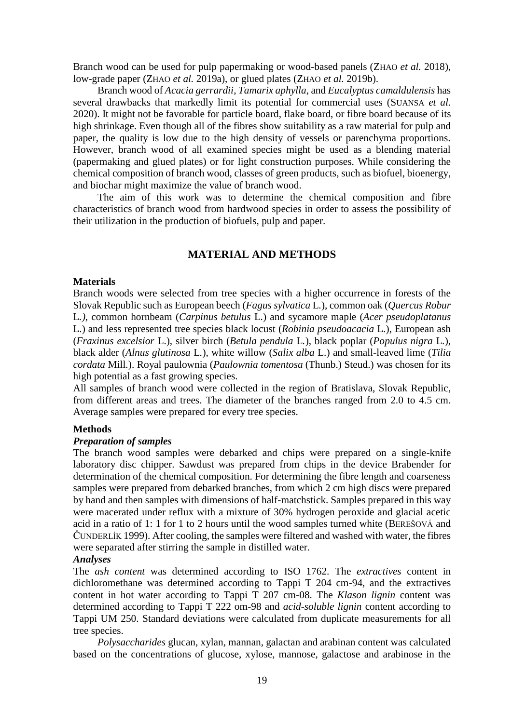Branch wood can be used for pulp papermaking or wood-based panels (ZHAO *et al.* 2018), low-grade paper (ZHAO *et al.* 2019a), or glued plates (ZHAO *et al.* 2019b).

Branch wood of *Acacia gerrardii*, *Tamarix aphylla*, and *Eucalyptus camaldulensis* has several drawbacks that markedly limit its potential for commercial uses (SUANSA *et al.* 2020). It might not be favorable for particle board, flake board, or fibre board because of its high shrinkage. Even though all of the fibres show suitability as a raw material for pulp and paper, the quality is low due to the high density of vessels or parenchyma proportions. However, branch wood of all examined species might be used as a blending material (papermaking and glued plates) or for light construction purposes. While considering the chemical composition of branch wood, classes of green products, such as biofuel, bioenergy, and biochar might maximize the value of branch wood.

The aim of this work was to determine the chemical composition and fibre characteristics of branch wood from hardwood species in order to assess the possibility of their utilization in the production of biofuels, pulp and paper.

# **MATERIAL AND METHODS**

### **Materials**

Branch woods were selected from tree species with a higher occurrence in forests of the Slovak Republic such as European beech (*Fagus sylvatica* L*.*), common oak (*Quercus Robur*  L*.)*, common hornbeam (*Carpinus betulus* L.) and sycamore maple (*Acer pseudoplatanus*  L.) and less represented tree species black locust (*Robinia pseudoacacia* L.), European ash (*Fraxinus excelsior* L.), silver birch (*Betula pendula* L*.*), black poplar (*Populus nigra* L*.*), black alder (*Alnus glutinosa* L*.*), white willow (*Salix alba* L.) and small-leaved lime (*Tilia cordata* Mill*.*). Royal paulownia (*Paulownia tomentosa* (Thunb.) Steud.) was chosen for its high potential as a fast growing species.

All samples of branch wood were collected in the region of Bratislava, Slovak Republic, from different areas and trees. The diameter of the branches ranged from 2.0 to 4.5 cm. Average samples were prepared for every tree species.

### **Methods**

### *Preparation of samples*

The branch wood samples were debarked and chips were prepared on a single-knife laboratory disc chipper. Sawdust was prepared from chips in the device Brabender for determination of the chemical composition. For determining the fibre length and coarseness samples were prepared from debarked branches, from which 2 cm high discs were prepared by hand and then samples with dimensions of half-matchstick. Samples prepared in this way were macerated under reflux with a mixture of 30% hydrogen peroxide and glacial acetic acid in a ratio of 1: 1 for 1 to 2 hours until the wood samples turned white (BEREŠOVÁ and ČUNDERLÍK 1999). After cooling, the samples were filtered and washed with water, the fibres were separated after stirring the sample in distilled water.

#### *Analyses*

The *ash content* was determined according to ISO 1762. The *extractives* content in dichloromethane was determined according to Tappi T 204 cm-94, and the extractives content in hot water according to Tappi T 207 cm-08. The *Klason lignin* content was determined according to Tappi T 222 om-98 and *acid-soluble lignin* content according to Tappi UM 250. Standard deviations were calculated from duplicate measurements for all tree species.

*Polysaccharides* glucan, xylan, mannan, galactan and arabinan content was calculated based on the concentrations of glucose, xylose, mannose, galactose and arabinose in the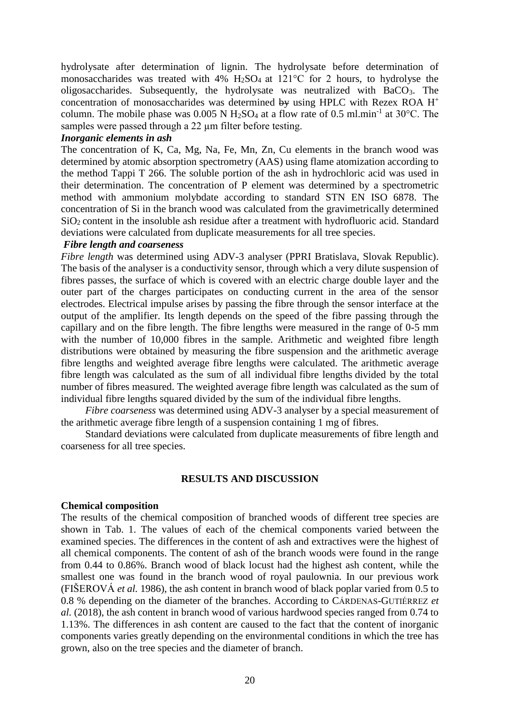hydrolysate after determination of lignin. The hydrolysate before determination of monosaccharides was treated with  $4\%$  H<sub>2</sub>SO<sub>4</sub> at 121<sup>o</sup>C for 2 hours, to hydrolyse the oligosaccharides. Subsequently, the hydrolysate was neutralized with BaCO3. The concentration of monosaccharides was determined by using HPLC with Rezex ROA  $H^+$ column. The mobile phase was 0.005 N  $H_2SO_4$  at a flow rate of 0.5 ml.min<sup>-1</sup> at 30°C. The samples were passed through a 22  $\mu$ m filter before testing.

### *Inorganic elements in ash*

The concentration of K, Ca, Mg, Na, Fe, Mn, Zn, Cu elements in the branch wood was determined by atomic absorption spectrometry (AAS) using flame atomization according to the method Tappi T 266. The soluble portion of the ash in hydrochloric acid was used in their determination. The concentration of P element was determined by a spectrometric method with ammonium molybdate according to standard STN EN ISO 6878. The concentration of Si in the branch wood was calculated from the gravimetrically determined SiO2 content in the insoluble ash residue after a treatment with hydrofluoric acid. Standard deviations were calculated from duplicate measurements for all tree species.

### *Fibre length and coarseness*

*Fibre length* was determined using ADV-3 analyser (PPRI Bratislava, Slovak Republic). The basis of the analyser is a conductivity sensor, through which a very dilute suspension of fibres passes, the surface of which is covered with an electric charge double layer and the outer part of the charges participates on conducting current in the area of the sensor electrodes. Electrical impulse arises by passing the fibre through the sensor interface at the output of the amplifier. Its length depends on the speed of the fibre passing through the capillary and on the fibre length. The fibre lengths were measured in the range of 0-5 mm with the number of 10,000 fibres in the sample. Arithmetic and weighted fibre length distributions were obtained by measuring the fibre suspension and the arithmetic average fibre lengths and weighted average fibre lengths were calculated. The arithmetic average fibre length was calculated as the sum of all individual fibre lengths divided by the total number of fibres measured. The weighted average fibre length was calculated as the sum of individual fibre lengths squared divided by the sum of the individual fibre lengths.

*Fibre coarseness* was determined using ADV-3 analyser by a special measurement of the arithmetic average fibre length of a suspension containing 1 mg of fibres.

Standard deviations were calculated from duplicate measurements of fibre length and coarseness for all tree species.

# **RESULTS AND DISCUSSION**

#### **Chemical composition**

The results of the chemical composition of branched woods of different tree species are shown in Tab. 1. The values of each of the chemical components varied between the examined species. The differences in the content of ash and extractives were the highest of all chemical components. The content of ash of the branch woods were found in the range from 0.44 to 0.86%. Branch wood of black locust had the highest ash content, while the smallest one was found in the branch wood of royal paulownia. In our previous work (FIŠEROVÁ *et al.* 1986), the ash content in branch wood of black poplar varied from 0.5 to 0.8 % depending on the diameter of the branches. According to CÁRDENAS-GUTIÉRREZ *et al.* (2018), the ash content in branch wood of various hardwood species ranged from 0.74 to 1.13%. The differences in ash content are caused to the fact that the content of inorganic components varies greatly depending on the environmental conditions in which the tree has grown, also on the tree species and the diameter of branch.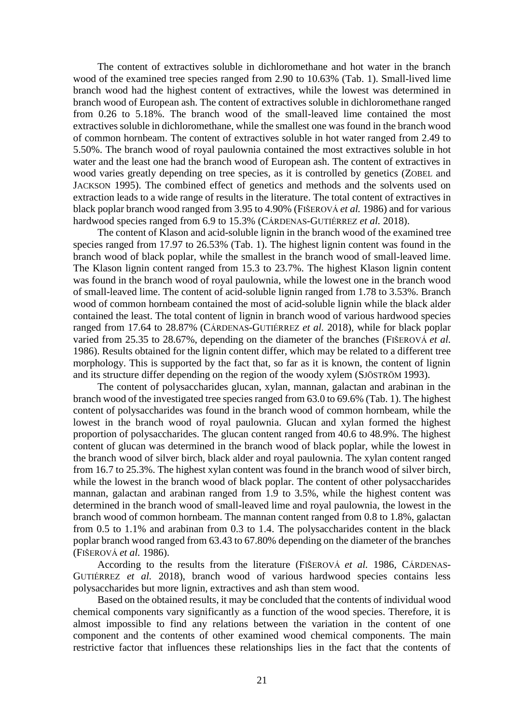The content of extractives soluble in dichloromethane and hot water in the branch wood of the examined tree species ranged from 2.90 to 10.63% (Tab. 1). Small-lived lime branch wood had the highest content of extractives, while the lowest was determined in branch wood of European ash. The content of extractives soluble in dichloromethane ranged from 0.26 to 5.18%. The branch wood of the small-leaved lime contained the most extractives soluble in dichloromethane, while the smallest one was found in the branch wood of common hornbeam. The content of extractives soluble in hot water ranged from 2.49 to 5.50%. The branch wood of royal paulownia contained the most extractives soluble in hot water and the least one had the branch wood of European ash. The content of extractives in wood varies greatly depending on tree species, as it is controlled by genetics (ZOBEL and JACKSON 1995). The combined effect of genetics and methods and the solvents used on extraction leads to a wide range of results in the literature. The total content of extractives in black poplar branch wood ranged from 3.95 to 4.90% (FIŠEROVÁ *et al.* 1986) and for various hardwood species ranged from 6.9 to 15.3% (CÁRDENAS-GUTIÉRREZ *et al.* 2018).

The content of Klason and acid-soluble lignin in the branch wood of the examined tree species ranged from 17.97 to 26.53% (Tab. 1). The highest lignin content was found in the branch wood of black poplar, while the smallest in the branch wood of small-leaved lime. The Klason lignin content ranged from 15.3 to 23.7%. The highest Klason lignin content was found in the branch wood of royal paulownia, while the lowest one in the branch wood of small-leaved lime. The content of acid-soluble lignin ranged from 1.78 to 3.53%. Branch wood of common hornbeam contained the most of acid-soluble lignin while the black alder contained the least. The total content of lignin in branch wood of various hardwood species ranged from 17.64 to 28.87% (CÁRDENAS-GUTIÉRREZ *et al.* 2018), while for black poplar varied from 25.35 to 28.67%, depending on the diameter of the branches (FIŠEROVÁ *et al.* 1986). Results obtained for the lignin content differ, which may be related to a different tree morphology. This is supported by the fact that, so far as it is known, the content of lignin and its structure differ depending on the region of the woody xylem (SJÖSTRÖM 1993).

The content of polysaccharides glucan, xylan, mannan, galactan and arabinan in the branch wood of the investigated tree species ranged from 63.0 to 69.6% (Tab. 1). The highest content of polysaccharides was found in the branch wood of common hornbeam, while the lowest in the branch wood of royal paulownia. Glucan and xylan formed the highest proportion of polysaccharides. The glucan content ranged from 40.6 to 48.9%. The highest content of glucan was determined in the branch wood of black poplar, while the lowest in the branch wood of silver birch, black alder and royal paulownia. The xylan content ranged from 16.7 to 25.3%. The highest xylan content was found in the branch wood of silver birch, while the lowest in the branch wood of black poplar. The content of other polysaccharides mannan, galactan and arabinan ranged from 1.9 to 3.5%, while the highest content was determined in the branch wood of small-leaved lime and royal paulownia, the lowest in the branch wood of common hornbeam. The mannan content ranged from 0.8 to 1.8%, galactan from 0.5 to 1.1% and arabinan from 0.3 to 1.4. The polysaccharides content in the black poplar branch wood ranged from 63.43 to 67.80% depending on the diameter of the branches (FIŠEROVÁ *et al.* 1986).

According to the results from the literature (FIŠEROVÁ *et al.* 1986, CÁRDENAS-GUTIÉRREZ *et al.* 2018), branch wood of various hardwood species contains less polysaccharides but more lignin, extractives and ash than stem wood.

Based on the obtained results, it may be concluded that the contents of individual wood chemical components vary significantly as a function of the wood species. Therefore, it is almost impossible to find any relations between the variation in the content of one component and the contents of other examined wood chemical components. The main restrictive factor that influences these relationships lies in the fact that the contents of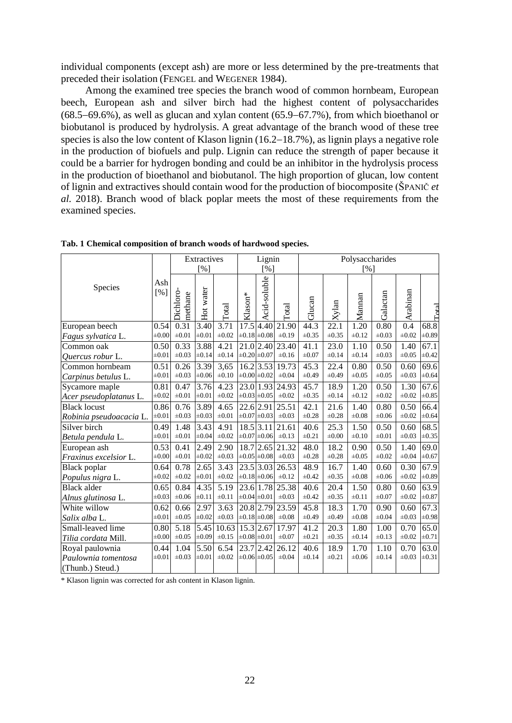individual components (except ash) are more or less determined by the pre-treatments that preceded their isolation (FENGEL and WEGENER 1984).

Among the examined tree species the branch wood of common hornbeam, European beech, European ash and silver birch had the highest content of polysaccharides  $(68.5-69.6\%)$ , as well as glucan and xylan content  $(65.9-67.7\%)$ , from which bioethanol or biobutanol is produced by hydrolysis. A great advantage of the branch wood of these tree species is also the low content of Klason lignin  $(16.2–18.7%)$ , as lignin plays a negative role in the production of biofuels and pulp. Lignin can reduce the strength of paper because it could be a barrier for hydrogen bonding and could be an inhibitor in the hydrolysis process in the production of bioethanol and biobutanol. The high proportion of glucan, low content of lignin and extractives should contain wood for the production of biocomposite (ŠPANIČ *et al.* 2018). Branch wood of black poplar meets the most of these requirements from the examined species.

|                         | Ash<br>[%] | Extractives          |                   | Lignin     |                     | Polysaccharides        |            |            |            |            |            |            |                             |
|-------------------------|------------|----------------------|-------------------|------------|---------------------|------------------------|------------|------------|------------|------------|------------|------------|-----------------------------|
|                         |            | [%]                  |                   |            | [%]                 |                        | [%]        |            |            |            |            |            |                             |
| Species                 |            | Dichloro-<br>methane | Hot water         | Total      | Klason <sup>*</sup> | Acid-soluble           | Total      | Glucan     | Xylan      | Mannan     | Galactan   | Arabinan   | $\Gamma_{\alpha\text{tal}}$ |
| European beech          | 0.54       | 0.31                 | 3.40              | 3.71       | 17.5                | 4.40                   | 21.90      | 44.3       | 22.1       | 1.20       | 0.80       | 0.4        | 68.8                        |
| Fagus sylvatica L.      | $\pm 0.00$ | $\pm 0.01$           | $\pm 0.01$        | $\pm 0.02$ |                     | $\pm 0.18 \pm 0.08$    | $\pm 0.19$ | $\pm 0.35$ | $\pm 0.35$ | $\pm 0.12$ | $\pm 0.03$ | $\pm 0.02$ | $\pm 0.89$                  |
| Common oak              | 0.50       | 0.33                 | 3.88              | 4.21       |                     | $21.0$ 2.40            | 23.40      | 41.1       | 23.0       | 1.10       | 0.50       | 1.40       | 67.1                        |
| <i>Ouercus robur</i> L. | $\pm 0.01$ | $\pm 0.03$           | $\pm 0.14$        | $\pm 0.14$ | $\pm 0.20 \pm 0.07$ |                        | $\pm 0.16$ | $\pm 0.07$ | $\pm 0.14$ | $\pm 0.14$ | $\pm 0.03$ | $\pm 0.05$ | $\pm 0.42$                  |
| Common hornbeam         | 0.51       | 0.26                 | 3.39              | 3,65       |                     | 16.2 3.53              | 19.73      | 45.3       | 22.4       | 0.80       | 0.50       | 0.60       | 69.6                        |
| Carpinus betulus L.     | $\pm 0.01$ | $\pm 0.03$           | $\pm 0.06$        | $\pm 0.10$ |                     | $\pm 0.00 \pm 0.02$    | $\pm 0.04$ | $\pm 0.49$ | $\pm 0.49$ | $\pm 0.05$ | $\pm 0.05$ | $\pm 0.03$ | $\pm 0.64$                  |
| Sycamore maple          | 0.81       | 0.47                 | 3.76              | 4.23       |                     | 23.0 1.93              | 24.93      | 45.7       | 18.9       | 1.20       | 0.50       | 1.30       | 67.6                        |
| Acer pseudoplatanus L.  | $\pm 0.02$ | $\pm 0.01$           | $\pm 0.01$        | $\pm 0.02$ |                     | $\pm 0.03 \pm 0.05$    | $\pm 0.02$ | $\pm 0.35$ | $\pm 0.14$ | $\pm 0.12$ | $\pm 0.02$ | $\pm 0.02$ | $\pm 0.85$                  |
| <b>Black locust</b>     | 0.86       | 0.76                 | 3.89              | 4.65       |                     | $22.6$ 2.91            | 25.51      | 42.1       | 21.6       | 1.40       | 0.80       | 0.50       | 66.4                        |
| Robinia pseudoacacia L. | $\pm 0.01$ | $\pm 0.03$           | $\pm 0.03$        | $\pm 0.01$ |                     | $\pm 0.07 \pm 0.03$    | $\pm 0.03$ | $\pm 0.28$ | $\pm 0.28$ | $\pm 0.08$ | $\pm 0.06$ | $\pm 0.02$ | $\pm 0.64$                  |
| Silver birch            | 0.49       | 1.48                 | 3.43              | 4.91       |                     | $18.5$ 3.11            | 21.61      | 40.6       | 25.3       | 1.50       | 0.50       | 0.60       | 68.5                        |
| Betula pendula L.       | $\pm 0.01$ | $\pm 0.01$           | $\pm 0.04$        | $\pm 0.02$ |                     | $\pm 0.07 \pm 0.06$    | $\pm 0.13$ | $\pm 0.21$ | $\pm 0.00$ | $\pm 0.10$ | $\pm 0.01$ | $\pm 0.03$ | $\pm 0.35$                  |
| European ash            | 0.53       | 0.41                 | 2.49              | 2.90       |                     | 18.7 2.65              | 21.32      | 48.0       | 18.2       | 0.90       | 0.50       | 1.40       | 69.0                        |
| Fraxinus excelsior L.   | $\pm 0.00$ | $\pm 0.01$           | $\pm 0.02$        | $\pm 0.03$ |                     | $\pm 0.05 \pm 0.08$    | $\pm 0.03$ | $\pm 0.28$ | $\pm 0.28$ | $\pm 0.05$ | $\pm 0.02$ | $\pm 0.04$ | $\pm 0.67$                  |
| <b>Black</b> poplar     | 0.64       | 0.78                 | $\overline{2.65}$ | 3.43       |                     | $23.\overline{5}$ 3.03 | 26.53      | 48.9       | 16.7       | 1.40       | 0.60       | 0.30       | 67.9                        |
| Populus nigra L.        | $\pm 0.02$ | $\pm 0.02$           | $\pm 0.01$        | $\pm 0.02$ |                     | $\pm 0.18 \pm 0.06$    | $\pm 0.12$ | $\pm 0.42$ | $\pm 0.35$ | $\pm 0.08$ | $\pm 0.06$ | $\pm 0.02$ | $\pm 0.89$                  |
| <b>Black alder</b>      | 0.65       | 0.84                 | 4.35              | 5.19       |                     | 23.6 1.78              | 25.38      | 40.6       | 20.4       | 1.50       | 0.80       | 0.60       | 63.9                        |
| Alnus glutinosa L.      | $\pm 0.03$ | $\pm 0.06$           | $\pm 0.11$        | $\pm 0.11$ |                     | $\pm 0.04 \pm 0.01$    | $\pm 0.03$ | $\pm 0.42$ | $\pm 0.35$ | $\pm 0.11$ | $\pm 0.07$ | $\pm 0.02$ | $\pm 0.87$                  |
| White willow            | 0.62       | 0.66                 | 2.97              | 3.63       |                     | 20.8 2.79              | 23.59      | 45.8       | 18.3       | 1.70       | 0.90       | 0.60       | $\overline{67.3}$           |
| Salix alba L.           | $\pm 0.01$ | $\pm 0.05$           | $\pm 0.02$        | $\pm 0.03$ |                     | $\pm 0.18 \pm 0.08$    | $\pm 0.08$ | $\pm 0.49$ | $\pm 0.49$ | $\pm 0.08$ | $\pm 0.04$ | $\pm 0.03$ | $\pm 0.98$                  |
| Small-leaved lime       | 0.80       | $\overline{5.18}$    | 5.45              | 10.63      |                     | 15.3 2.67              | 17.97      | 41.2       | 20.3       | 1.80       | 1.00       | 0.70       | 65.0                        |
| Tilia cordata Mill.     | $\pm 0.00$ | $\pm 0.05$           | $\pm 0.09$        | $\pm 0.15$ |                     | $\pm 0.08 \pm 0.01$    | $\pm 0.07$ | $\pm 0.21$ | $\pm 0.35$ | $\pm 0.14$ | $\pm 0.13$ | $\pm 0.02$ | $\pm 0.71$                  |
| Royal paulownia         | 0.44       | 1.04                 | 5.50              | 6.54       |                     | $23.7$ 2.42            | 26.12      | 40.6       | 18.9       | 1.70       | 1.10       | 0.70       | 63.0                        |
| Paulownia tomentosa     | $\pm 0.01$ | $\pm 0.03$           | $\pm 0.01$        | $\pm 0.02$ |                     | $\pm 0.06 \pm 0.05$    | $\pm 0.04$ | $\pm 0.14$ | $\pm 0.21$ | $\pm 0.06$ | $\pm 0.14$ | $\pm 0.03$ | $\pm 0.31$                  |
| (Thunb.) Steud.)        |            |                      |                   |            |                     |                        |            |            |            |            |            |            |                             |

|  |  | Tab. 1 Chemical composition of branch woods of hardwood species. |  |  |  |  |
|--|--|------------------------------------------------------------------|--|--|--|--|
|--|--|------------------------------------------------------------------|--|--|--|--|

\* Klason lignin was corrected for ash content in Klason lignin.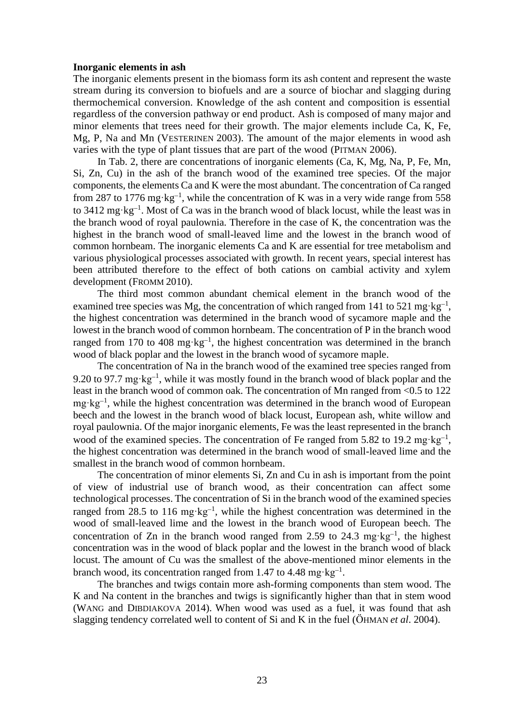#### **Inorganic elements in ash**

The inorganic elements present in the biomass form its ash content and represent the waste stream during its conversion to biofuels and are a source of biochar and slagging during thermochemical conversion. Knowledge of the ash content and composition is essential regardless of the conversion pathway or end product. Ash is composed of many major and minor elements that trees need for their growth. The major elements include Ca, K, Fe, Mg, P, Na and Mn (VESTERINEN 2003). The amount of the major elements in wood ash varies with the type of plant tissues that are part of the wood (PITMAN 2006).

In Tab. 2, there are concentrations of inorganic elements (Ca, K, Mg, Na, P, Fe, Mn, Si, Zn, Cu) in the ash of the branch wood of the examined tree species. Of the major components, the elements Ca and K were the most abundant. The concentration of Ca ranged from 287 to 1776 mg·kg<sup>-1</sup>, while the concentration of K was in a very wide range from 558 to 3412 mg·kg<sup>-1</sup>. Most of Ca was in the branch wood of black locust, while the least was in the branch wood of royal paulownia. Therefore in the case of K, the concentration was the highest in the branch wood of small-leaved lime and the lowest in the branch wood of common hornbeam. The inorganic elements Ca and K are essential for tree metabolism and various physiological processes associated with growth. In recent years, special interest has been attributed therefore to the effect of both cations on cambial activity and xylem development (FROMM 2010).

The third most common abundant chemical element in the branch wood of the examined tree species was Mg, the concentration of which ranged from 141 to 521 mg·kg<sup>-1</sup>, the highest concentration was determined in the branch wood of sycamore maple and the lowest in the branch wood of common hornbeam. The concentration of P in the branch wood ranged from 170 to 408 mg·kg<sup>-1</sup>, the highest concentration was determined in the branch wood of black poplar and the lowest in the branch wood of sycamore maple.

The concentration of Na in the branch wood of the examined tree species ranged from 9.20 to 97.7 mg·kg<sup>-1</sup>, while it was mostly found in the branch wood of black poplar and the least in the branch wood of common oak. The concentration of Mn ranged from <0.5 to 122  $mg \cdot kg^{-1}$ , while the highest concentration was determined in the branch wood of European beech and the lowest in the branch wood of black locust, European ash, white willow and royal paulownia. Of the major inorganic elements, Fe was the least represented in the branch wood of the examined species. The concentration of Fe ranged from 5.82 to 19.2 mg·kg<sup>-1</sup>, the highest concentration was determined in the branch wood of small-leaved lime and the smallest in the branch wood of common hornbeam.

The concentration of minor elements Si, Zn and Cu in ash is important from the point of view of industrial use of branch wood, as their concentration can affect some technological processes. The concentration of Si in the branch wood of the examined species ranged from 28.5 to 116 mg·kg<sup>-1</sup>, while the highest concentration was determined in the wood of small-leaved lime and the lowest in the branch wood of European beech. The concentration of Zn in the branch wood ranged from 2.59 to 24.3 mg·kg<sup>-1</sup>, the highest concentration was in the wood of black poplar and the lowest in the branch wood of black locust. The amount of Cu was the smallest of the above-mentioned minor elements in the branch wood, its concentration ranged from 1.47 to 4.48 mg·kg<sup>-1</sup>.

The branches and twigs contain more ash-forming components than stem wood. The K and Na content in the branches and twigs is significantly higher than that in stem wood (WANG and DIBDIAKOVA 2014). When wood was used as a fuel, it was found that ash slagging tendency correlated well to content of Si and K in the fuel (ÖHMAN *et al*. 2004).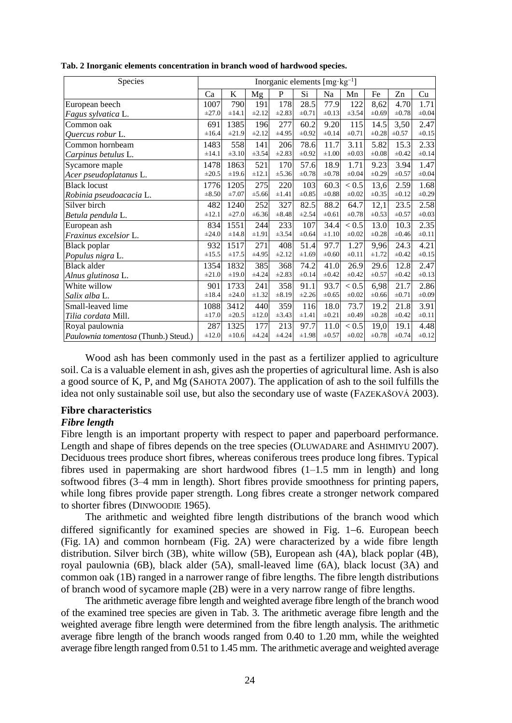| Species                              | Inorganic elements $[mg \cdot kg^{-1}]$ |            |            |            |            |            |            |            |            |            |
|--------------------------------------|-----------------------------------------|------------|------------|------------|------------|------------|------------|------------|------------|------------|
|                                      | Ca                                      | K          | Mg         | P          | Si         | Na         | Mn         | Fe         | Zn         | Cu         |
| European beech                       | 1007                                    | 790        | 191        | 178        | 28.5       | 77.9       | 122        | 8,62       | 4.70       | 1.71       |
| Fagus sylvatica L.                   | $\pm 27.0$                              | $\pm 14.1$ | $\pm 2.12$ | $\pm 2.83$ | $\pm 0.71$ | $\pm 0.13$ | ±3.54      | $\pm 0.69$ | $\pm 0.78$ | $\pm 0.04$ |
| Common oak                           | 691                                     | 1385       | 196        | 277        | 60.2       | 9.20       | 115        | 14.5       | 3,50       | 2.47       |
| Ouercus robur L.                     | $\pm 16.4$                              | $\pm 21.9$ | $\pm 2.12$ | $\pm 4.95$ | $\pm 0.92$ | $\pm 0.14$ | $\pm 0.71$ | $\pm 0.28$ | $\pm 0.57$ | $\pm 0.15$ |
| Common hornbeam                      | 1483                                    | 558        | 141        | 206        | 78.6       | 11.7       | 3.11       | 5.82       | 15.3       | 2.33       |
| Carpinus betulus L.                  | $\pm 14.1$                              | $\pm 3.10$ | ±3.54      | $\pm 2.83$ | $\pm 0.92$ | $\pm 1.00$ | $\pm 0.03$ | $\pm 0.08$ | $\pm 0.42$ | $\pm 0.14$ |
| Sycamore maple                       | 1478                                    | 1863       | 521        | 170        | 57.6       | 18.9       | 1.71       | 9.23       | 3.94       | 1.47       |
| Acer pseudoplatanus L.               | $\pm 20.5$                              | $\pm 19.6$ | $\pm 12.1$ | $\pm 5.36$ | $\pm 0.78$ | $\pm 0.78$ | $\pm 0.04$ | $\pm 0.29$ | $\pm 0.57$ | $\pm 0.04$ |
| <b>Black locust</b>                  | 1776                                    | 1205       | 275        | 220        | 103        | 60.3       | < 0.5      | 13,6       | 2.59       | 1.68       |
| Robinia pseudoacacia L.              | $\pm 8.50$                              | $\pm 7.07$ | $\pm 5.66$ | $\pm 1.41$ | $\pm 0.85$ | $\pm 0.88$ | $\pm 0.02$ | $\pm 0.35$ | $\pm 0.12$ | $\pm 0.29$ |
| Silver birch                         | 482                                     | 1240       | 252        | 327        | 82.5       | 88.2       | 64.7       | 12,1       | 23.5       | 2.58       |
| Betula pendula L.                    | $\pm 12.1$                              | $\pm 27.0$ | $\pm 6.36$ | $\pm 8.48$ | $\pm 2.54$ | $\pm 0.61$ | $\pm 0.78$ | $\pm 0.53$ | $\pm 0.57$ | $\pm 0.03$ |
| European ash                         | 834                                     | 1551       | 244        | 233        | 107        | 34.4       | < 0.5      | 13.0       | 10.3       | 2.35       |
| Fraxinus excelsior L.                | $\pm 24.0$                              | $\pm 14.8$ | $\pm 1.91$ | $\pm 3.54$ | $\pm 0.64$ | $\pm 1.10$ | $\pm 0.02$ | $\pm 0.28$ | $\pm 0.46$ | $\pm 0.11$ |
| <b>Black</b> poplar                  | 932                                     | 1517       | 271        | 408        | 51.4       | 97.7       | 1.27       | 9,96       | 24.3       | 4.21       |
| Populus nigra L.                     | $\pm 15.5$                              | $\pm 17.5$ | $\pm 4.95$ | $\pm 2.12$ | $\pm 1.69$ | $\pm 0.60$ | $\pm 0.11$ | $\pm 1.72$ | $\pm 0.42$ | $\pm 0.15$ |
| <b>Black alder</b>                   | 1354                                    | 1832       | 385        | 368        | 74.2       | 41.0       | 26.9       | 29.6       | 12.8       | 2.47       |
| Alnus glutinosa L.                   | $\pm 21.0$                              | $\pm 19.0$ | $\pm 4.24$ | $\pm 2.83$ | $\pm 0.14$ | $\pm 0.42$ | $\pm 0.42$ | $\pm 0.57$ | $\pm 0.42$ | $\pm 0.13$ |
| White willow                         | 901                                     | 1733       | 241        | 358        | 91.1       | 93.7       | < 0.5      | 6,98       | 21.7       | 2.86       |
| Salix alba L.                        | $\pm 18.4$                              | $\pm 24.0$ | $\pm 1.32$ | $\pm 8.19$ | $\pm 2.26$ | $\pm 0.65$ | $\pm 0.02$ | $\pm 0.66$ | $\pm 0.71$ | $\pm 0.09$ |
| Small-leaved lime                    | 1088                                    | 3412       | 440        | 359        | 116        | 18.0       | 73.7       | 19.2       | 21.8       | 3.91       |
| Tilia cordata Mill.                  | $\pm 17.0$                              | $\pm 20.5$ | $\pm 12.0$ | ±3.43      | $\pm 1.41$ | $\pm 0.21$ | $\pm 0.49$ | $\pm 0.28$ | $\pm 0.42$ | $\pm 0.11$ |
| Royal paulownia                      | 287                                     | 1325       | 177        | 213        | 97.7       | 11.0       | < 0.5      | 19,0       | 19.1       | 4.48       |
| Paulownia tomentosa (Thunb.) Steud.) | $\pm 12.0$                              | $\pm 10.6$ | ±4.24      | $\pm 4.24$ | $\pm 1.98$ | $\pm 0.57$ | $\pm 0.02$ | $\pm 0.78$ | $\pm 0.74$ | $\pm 0.12$ |

**Tab. 2 Inorganic elements concentration in branch wood of hardwood species.**

Wood ash has been commonly used in the past as a fertilizer applied to agriculture soil. Ca is a valuable element in ash, gives ash the properties of agricultural lime. Ash is also a good source of K, P, and Mg (SAHOTA 2007). The application of ash to the soil fulfills the idea not only sustainable soil use, but also the secondary use of waste (FAZEKAŠOVÁ 2003).

# **Fibre characteristics**

### *Fibre length*

Fibre length is an important property with respect to paper and paperboard performance. Length and shape of fibres depends on the tree species (OLUWADARE and ASHIMIYU 2007). Deciduous trees produce short fibres, whereas coniferous trees produce long fibres. Typical fibres used in papermaking are short hardwood fibres (1–1.5 mm in length) and long softwood fibres (3–4 mm in length). Short fibres provide smoothness for printing papers, while long fibres provide paper strength. Long fibres create a stronger network compared to shorter fibres (DINWOODIE 1965).

The arithmetic and weighted fibre length distributions of the branch wood which differed significantly for examined species are showed in Fig.  $1-6$ . European beech (Fig. 1A) and common hornbeam (Fig. 2A) were characterized by a wide fibre length distribution. Silver birch (3B), white willow (5B), European ash (4A), black poplar (4B), royal paulownia (6B), black alder (5A), small-leaved lime (6A), black locust (3A) and common oak (1B) ranged in a narrower range of fibre lengths. The fibre length distributions of branch wood of sycamore maple (2B) were in a very narrow range of fibre lengths.

The arithmetic average fibre length and weighted average fibre length of the branch wood of the examined tree species are given in Tab. 3. The arithmetic average fibre length and the weighted average fibre length were determined from the fibre length analysis. The arithmetic average fibre length of the branch woods ranged from 0.40 to 1.20 mm, while the weighted average fibre length ranged from 0.51 to 1.45 mm. The arithmetic average and weighted average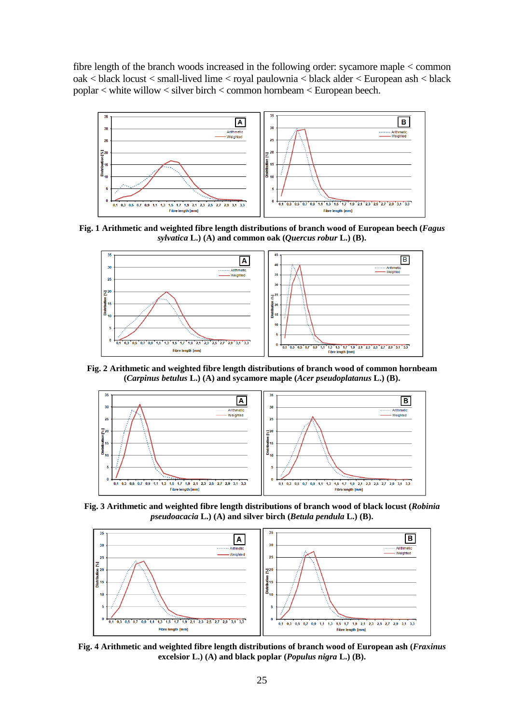fibre length of the branch woods increased in the following order: sycamore maple < common oak < black locust < small-lived lime < royal paulownia < black alder < European ash < black poplar < white willow < silver birch < common hornbeam < European beech.



**Fig. 1 Arithmetic and weighted fibre length distributions of branch wood of European beech (***Fagus sylvatica* **L.) (A) and common oak (***Quercus robur* **L.) (B).**



**Fig. 2 Arithmetic and weighted fibre length distributions of branch wood of common hornbeam (***Carpinus betulus* **L.) (A) and sycamore maple (***Acer pseudoplatanus* **L.) (B).**



**Fig. 3 Arithmetic and weighted fibre length distributions of branch wood of black locust (***Robinia pseudoacacia* **L.) (A) and silver birch (***Betula pendula* **L.) (B).**



**Fig. 4 Arithmetic and weighted fibre length distributions of branch wood of European ash (***Fraxinus*  **excelsior L.) (A) and black poplar (***Populus nigra* **L.) (B).**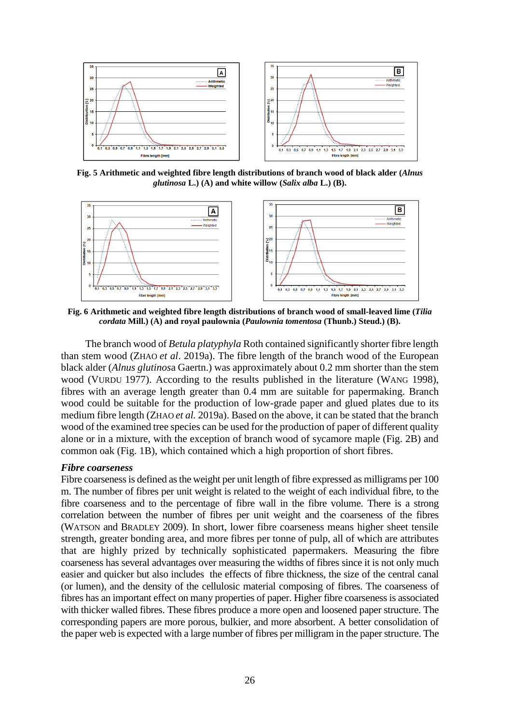

**Fig. 5 Arithmetic and weighted fibre length distributions of branch wood of black alder (***Alnus glutinosa* **L.) (A) and white willow (***Salix alba* **L.) (B).**



**Fig. 6 Arithmetic and weighted fibre length distributions of branch wood of small-leaved lime (***Tilia cordata* **Mill.) (A) and royal paulownia (***Paulownia tomentosa* **(Thunb.) Steud.) (B).**

The branch wood of *Betula platyphyla* Roth contained significantly shorter fibre length than stem wood (ZHAO *et al*. 2019a). The fibre length of the branch wood of the European black alder (*Alnus glutinos*a Gaertn.) was approximately about 0.2 mm shorter than the stem wood (VURDU 1977). According to the results published in the literature (WANG 1998), fibres with an average length greater than 0.4 mm are suitable for papermaking. Branch wood could be suitable for the production of low-grade paper and glued plates due to its medium fibre length (ZHAO *et al.* 2019a). Based on the above, it can be stated that the branch wood of the examined tree species can be used for the production of paper of different quality alone or in a mixture, with the exception of branch wood of sycamore maple (Fig. 2B) and common oak (Fig. 1B), which contained which a high proportion of short fibres.

## *Fibre coarseness*

Fibre coarseness is defined as the weight per unit length of fibre expressed as milligrams per 100 m. The number of fibres per unit weight is related to the weight of each individual fibre, to the fibre coarseness and to the percentage of fibre wall in the fibre volume. There is a strong correlation between the number of fibres per unit weight and the coarseness of the fibres (WATSON and BRADLEY 2009). In short, lower fibre coarseness means higher sheet tensile strength, greater bonding area, and more fibres per tonne of pulp, all of which are attributes that are highly prized by technically sophisticated papermakers. Measuring the fibre coarseness has several advantages over measuring the widths of fibres since it is not only much easier and quicker but also includes the effects of fibre thickness, the size of the central canal (or lumen), and the density of the cellulosic material composing of fibres. The coarseness of fibres has an important effect on many properties of paper. Higher fibre coarseness is associated with thicker walled fibres. These fibres produce a more open and loosened paper structure. The corresponding papers are more porous, bulkier, and more absorbent. A better consolidation of the paper web is expected with a large number of fibres per milligram in the paper structure. The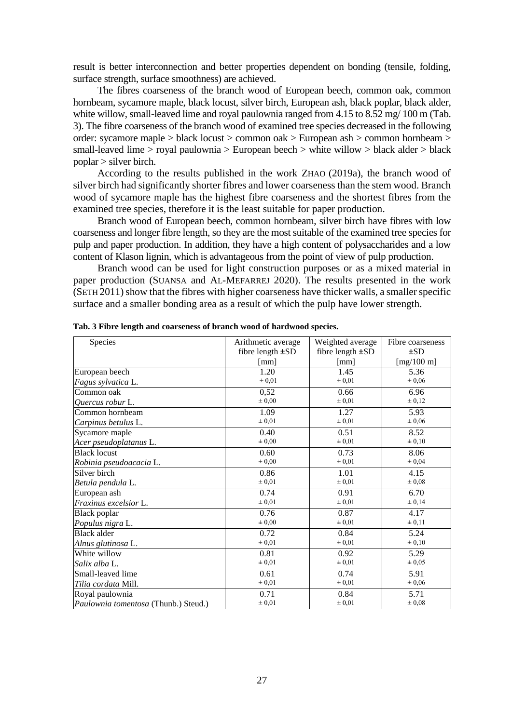result is better interconnection and better properties dependent on bonding (tensile, folding, surface strength, surface smoothness) are achieved.

The fibres coarseness of the branch wood of European beech, common oak, common hornbeam, sycamore maple, black locust, silver birch, European ash, black poplar, black alder, white willow, small-leaved lime and royal paulownia ranged from 4.15 to 8.52 mg/ 100 m (Tab. 3). The fibre coarseness of the branch wood of examined tree species decreased in the following order: sycamore maple > black locust > common oak > European ash > common hornbeam > small-leaved lime > royal paulownia > European beech > white willow > black alder > black poplar > silver birch.

According to the results published in the work ZHAO (2019a), the branch wood of silver birch had significantly shorter fibres and lower coarseness than the stem wood. Branch wood of sycamore maple has the highest fibre coarseness and the shortest fibres from the examined tree species, therefore it is the least suitable for paper production.

Branch wood of European beech, common hornbeam, silver birch have fibres with low coarseness and longer fibre length, so they are the most suitable of the examined tree species for pulp and paper production. In addition, they have a high content of polysaccharides and a low content of Klason lignin, which is advantageous from the point of view of pulp production.

Branch wood can be used for light construction purposes or as a mixed material in paper production (SUANSA and AL-MEFARREJ 2020). The results presented in the work (SETH 2011) show that the fibres with higher coarseness have thicker walls, a smaller specific surface and a smaller bonding area as a result of which the pulp have lower strength.

| Species                              | Arithmetic average    | Weighted average      | Fibre coarseness |
|--------------------------------------|-----------------------|-----------------------|------------------|
|                                      | fibre length $\pm SD$ | fibre length $\pm SD$ | $\pm SD$         |
|                                      | [mm]                  | [mm]                  | [ $mg/100$ m]    |
| European beech                       | 1.20                  | 1.45                  | 5.36             |
| Fagus sylvatica L.                   | $\pm 0.01$            | $\pm 0.01$            | ± 0,06           |
| Common oak                           | 0,52                  | 0.66                  | 6.96             |
| Quercus robur L.                     | $\pm 0.00$            | $\pm 0.01$            | $\pm 0.12$       |
| Common hornbeam                      | 1.09                  | 1.27                  | 5.93             |
| Carpinus betulus L.                  | $\pm 0.01$            | $\pm 0.01$            | ± 0,06           |
| Sycamore maple                       | 0.40                  | 0.51                  | 8.52             |
| Acer pseudoplatanus L.               | $\pm 0.00$            | $\pm 0.01$            | $\pm 0.10$       |
| <b>Black locust</b>                  | 0.60                  | 0.73                  | 8.06             |
| Robinia pseudoacacia L.              | $\pm 0.00$            | $\pm 0.01$            | $\pm 0.04$       |
| Silver birch                         | 0.86                  | 1.01                  | 4.15             |
| Betula pendula L.                    | $\pm 0.01$            | $\pm 0.01$            | $\pm 0.08$       |
| European ash                         | 0.74                  | 0.91                  | 6.70             |
| Fraxinus excelsior L.                | $\pm 0.01$            | $\pm 0.01$            | $\pm 0.14$       |
| <b>Black</b> poplar                  | 0.76                  | 0.87                  | 4.17             |
| Populus nigra L.                     | $\pm 0.00$            | $\pm 0.01$            | $\pm 0.11$       |
| <b>Black alder</b>                   | 0.72                  | 0.84                  | 5.24             |
| Alnus glutinosa L.                   | $\pm 0.01$            | $\pm 0.01$            | $\pm 0.10$       |
| White willow                         | 0.81                  | 0.92                  | 5.29             |
| Salix alba L.                        | $\pm 0.01$            | $\pm 0.01$            | $\pm 0.05$       |
| Small-leaved lime                    | 0.61                  | 0.74                  | 5.91             |
| Tilia cordata Mill.                  | $\pm 0.01$            | $\pm 0.01$            | ± 0,06           |
| Royal paulownia                      | 0.71                  | 0.84                  | 5.71             |
| Paulownia tomentosa (Thunb.) Steud.) | $\pm 0.01$            | ± 0,01                | $\pm 0.08$       |

**Tab. 3 Fibre length and coarseness of branch wood of hardwood species.**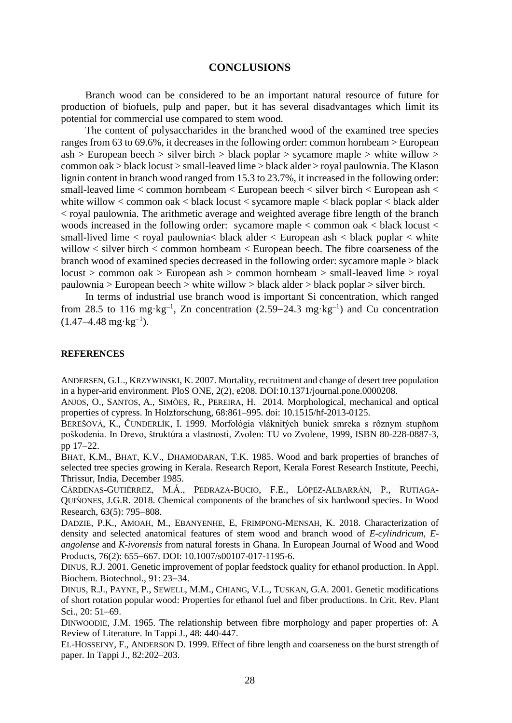## **CONCLUSIONS**

Branch wood can be considered to be an important natural resource of future for production of biofuels, pulp and paper, but it has several disadvantages which limit its potential for commercial use compared to stem wood.

The content of polysaccharides in the branched wood of the examined tree species ranges from 63 to 69.6%, it decreases in the following order: common hornbeam > European  $ash > European$  *beech > silver birth > black poplar > sycamore maple > white white willow >*common oak > black locust > small-leaved lime > black alder > royal paulownia. The Klason lignin content in branch wood ranged from 15.3 to 23.7%, it increased in the following order: small-leaved lime < common hornbeam < European beech < silver birch < European ash < white willow < common oak < black locust < sycamore maple < black poplar < black alder < royal paulownia. The arithmetic average and weighted average fibre length of the branch woods increased in the following order: sycamore maple  $\lt$  common oak  $\lt$  black locust  $\lt$ small-lived lime  $\lt$  royal paulownia $\lt$  black alder  $\lt$  European ash  $\lt$  black poplar  $\lt$  white willow < silver birch < common hornbeam < European beech. The fibre coarseness of the branch wood of examined species decreased in the following order: sycamore maple > black locust > common oak > European ash > common hornbeam > small-leaved lime > royal paulownia > European beech > white willow > black alder > black poplar > silver birch.

In terms of industrial use branch wood is important Si concentration, which ranged from 28.5 to 116 mg·kg<sup>-1</sup>, Zn concentration  $(2.59-24.3 \text{ mg} \cdot \text{kg}^{-1})$  and Cu concentration  $(1.47 - 4.48 \text{ mg} \cdot \text{kg}^{-1}).$ 

### **REFERENCES**

ANDERSEN, G.L., KRZYWINSKI, K. 2007. Mortality, recruitment and change of desert tree population in a hyper-arid environment. PloS ONE, 2(2), e208. DOI:10.1371/journal.pone.0000208.

ANJOS, O., SANTOS, A., SIMÕES, R., PEREIRA, H. 2014. Morphological, mechanical and optical properties of cypress. In Holzforschung, 68:861–995. doi: 10.1515/hf-2013-0125.

BEREŠOVÁ, K., ČUNDERLÍK, I. 1999. Morfológia vláknitých buniek smreka s rôznym stupňom poškodenia. In Drevo, štruktúra a vlastnosti, Zvolen: TU vo Zvolene, 1999, ISBN 80-228-0887-3, pp  $17-22$ .

BHAT, K.M., BHAT, K.V., DHAMODARAN, T.K. 1985. Wood and bark properties of branches of selected tree species growing in Kerala. Research Report, Kerala Forest Research Institute, Peechi, Thrissur, India, December 1985.

CÁRDENAS-GUTIÉRREZ, M.Á., PEDRAZA-BUCIO, F.E., LÓPEZ-ALBARRÁN, P., RUTIAGA-QUIŃONES, J.G.R. 2018. Chemical components of the branches of six hardwood species. In Wood Research, 63(5): 795-808.

DADZIE, P.K., AMOAH, M., EBANYENHE, E, FRIMPONG-MENSAH, K. 2018. Characterization of density and selected anatomical features of stem wood and branch wood of *E-cylindricum, Eangolense* and *K-ivorensis* from natural forests in Ghana. In European Journal of Wood and Wood Products, 76(2): 655-667. DOI: 10.1007/s00107-017-1195-6.

DINUS, R.J. 2001. Genetic improvement of poplar feedstock quality for ethanol production. In Appl. Biochem. Biotechnol., 91: 23–34.

DINUS, R.J., PAYNE, P., SEWELL, M.M., CHIANG, V.L., TUSKAN, G.A. 2001. Genetic modifications of short rotation popular wood: Properties for ethanol fuel and fiber productions. In Crit. Rev. Plant Sci., 20: 51-69.

DINWOODIE, J.M. 1965. The relationship between fibre morphology and paper properties of: A Review of Literature. In Tappi J., 48: 440-447.

EL-HOSSEINY, F., ANDERSON D. 1999. Effect of fibre length and coarseness on the burst strength of paper. In Tappi J., 82:202–203.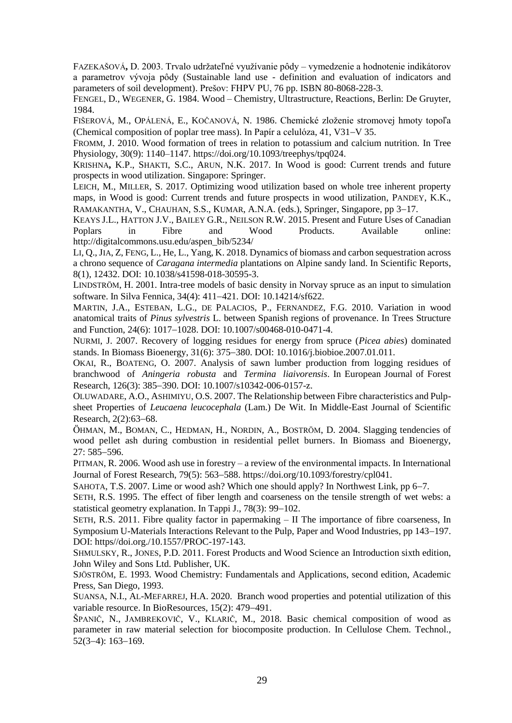FAZEKAŠOVÁ**,** D. 2003. Trvalo udržateľné využívanie pôdy – vymedzenie a hodnotenie indikátorov a parametrov vývoja pôdy (Sustainable land use - definition and evaluation of indicators and parameters of soil development). Prešov: FHPV PU, 76 pp. ISBN 80-8068-228-3.

FENGEL, D., WEGENER, G. 1984. Wood – Chemistry, Ultrastructure, Reactions, Berlin: De Gruyter, 1984.

FIŠEROVÁ, M., OPÁLENÁ, E., KOČANOVÁ, N. 1986. Chemické zloženie stromovej hmoty topoľa (Chemical composition of poplar tree mass). In Papír a celulóza,  $41$ , V31–V 35.

FROMM, J. 2010. Wood formation of trees in relation to potassium and calcium nutrition. In Tree Physiology, 30(9): 1140–1147[. https://doi.org/10.1093/treephys/tpq024.](https://doi.org/10.1093/treephys/tpq024)

KRISHNA**,** K.P., SHAKTI, S.C., ARUN, N.K. 2017. In Wood is good: Current trends and future prospects in wood utilization. Singapore: Springer.

LEICH, M., MILLER, S. 2017. Optimizing wood utilization based on whole tree inherent property maps, in Wood is good: Current trends and future prospects in wood utilization, PANDEY, K.K., RAMAKANTHA, V., CHAUHAN, S.S., KUMAR, A.N.A. (eds.), Springer, Singapore, pp 3–17.

KEAYS J.L., HATTON J.V., BAILEY G.R., NEILSON R.W. 2015. Present and Future Uses of Canadian Poplars in Fibre and Wood Products. Available online: http://digitalcommons.usu.edu/aspen\_bib/5234/

LI, Q., JIA, Z, FENG, L., He, L., Yang, K. 2018. Dynamics of biomass and carbon sequestration across a chrono sequence of *Caragana intermedia* plantations on Alpine sandy land. In Scientific Reports, 8(1), 12432. DOI: 10.1038/s41598-018-30595-3.

LINDSTRӦM, H. 2001. Intra-tree models of basic density in Norvay spruce as an input to simulation software. In Silva Fennica, 34(4): 411–421. DOI: 10.14214/sf622.

MARTIN, J.A., ESTEBAN, L.G., DE PALACIOS, P., FERNANDEZ, F.G. 2010. Variation in wood anatomical traits of *Pinus sylvestris* L. between Spanish regions of provenance. In Trees Structure and Function, 24(6): 1017-1028. DOI: 10.1007/s00468-010-0471-4.

NURMI, J. 2007. Recovery of logging residues for energy from spruce (*Picea abies*) dominated stands. In Biomass Bioenergy, 31(6): 375–380. DOI: 10.1016/j.biobioe.2007.01.011.

OKAI, R., BOATENG, O. 2007. Analysis of sawn lumber production from logging residues of branchwood of *Aningeria robusta* and *Termina liaivorensis*. In European Journal of Forest Research, 126(3): 385–390. DOI: 10.1007/s10342-006-0157-z.

OLUWADARE, A.O., ASHIMIYU, O.S. 2007. The Relationship between Fibre characteristics and Pulpsheet Properties of *Leucaena leucocephala* (Lam.) De Wit. In Middle-East Journal of Scientific Research, 2(2):63-68.

ÖHMAN, M., BOMAN, C., HEDMAN, H., NORDIN, A., BOSTRÖM, D. 2004. Slagging tendencies of wood pellet ash during combustion in residential pellet burners. In Biomass and Bioenergy,  $27:585 - 596.$ 

PITMAN, R. 2006. Wood ash use in forestry – a review of the environmental impacts. In International Journal of Forest Research, 79(5): 563–588. https://doi.org/10.1093/forestry/cpl041.

SAHOTA, T.S. 2007. Lime or wood ash? Which one should apply? In Northwest Link, pp 6–7.

SETH, R.S. 1995. The effect of fiber length and coarseness on the tensile strength of wet webs: a statistical geometry explanation. In Tappi J.,  $78(3)$ : 99-102.

SETH, R.S. 2011. Fibre quality factor in papermaking – II The importance of fibre coarseness, In Symposium U-Materials Interactions Relevant to the Pulp, Paper and Wood Industries, pp 143–197. DOI: https//doi.org./10.1557/PROC-197-143.

SHMULSKY, R., JONES, P.D. 2011. Forest Products and Wood Science an Introduction sixth edition, John Wiley and Sons Ltd. Publisher, UK.

SJÖSTRÖM, E. 1993. Wood Chemistry: Fundamentals and Applications, second edition, Academic Press, San Diego, 1993.

SUANSA, N.I., AL-MEFARREJ, H.A. 2020. Branch wood properties and potential utilization of this variable resource. In BioResources,  $15(2)$ :  $479-491$ .

ŠPANIČ, N., JAMBREKOVIČ, V., KLARIČ, M., 2018. Basic chemical composition of wood as parameter in raw material selection for biocomposite production. In Cellulose Chem. Technol.,  $52(3-4): 163-169.$